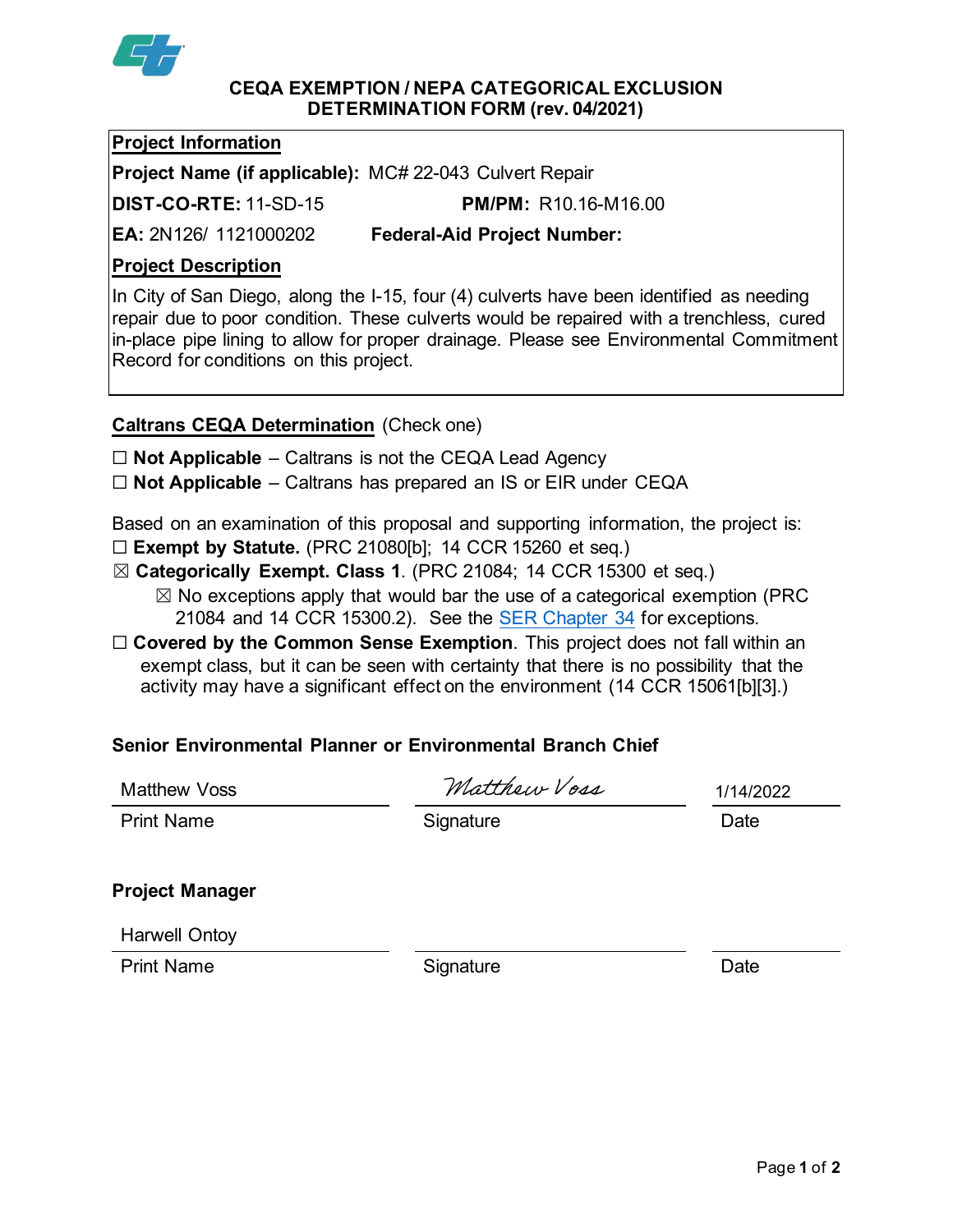

#### **CEQA EXEMPTION / NEPA CATEGORICAL EXCLUSION DETERMINATION FORM (rev. 04/2021)**

## **Project Information**

**Project Name (if applicable):** MC# 22-043 Culvert Repair

**DIST-CO-RTE:** 11-SD-15 **PM/PM:** R10.16-M16.00

**EA:** 2N126/ 1121000202 **Federal-Aid Project Number:**

# **Project Description**

In City of San Diego, along the I-15, four (4) culverts have been identified as needing repair due to poor condition. These culverts would be repaired with a trenchless, cured in-place pipe lining to allow for proper drainage. Please see Environmental Commitment Record for conditions on this project.

# **Caltrans CEQA Determination** (Check one)

☐ **Not Applicable** – Caltrans is not the CEQA Lead Agency

☐ **Not Applicable** – Caltrans has prepared an IS or EIR under CEQA

Based on an examination of this proposal and supporting information, the project is:

- ☐ **Exempt by Statute.** (PRC 21080[b]; 14 CCR 15260 et seq.)
- ☒ **Categorically Exempt. Class 1**. (PRC 21084; 14 CCR 15300 et seq.)
	- $\boxtimes$  No exceptions apply that would bar the use of a categorical exemption (PRC 21084 and 14 CCR 15300.2). See the [SER Chapter 34](https://dot.ca.gov/programs/environmental-analysis/standard-environmental-reference-ser/volume-1-guidance-for-compliance/ch-34-exemptions-to-ceqa#except) for exceptions.
- □ **Covered by the Common Sense Exemption**. This project does not fall within an exempt class, but it can be seen with certainty that there is no possibility that the activity may have a significant effect on the environment (14 CCR 15061[b][3].)

# **Senior Environmental Planner or Environmental Branch Chief**

| Matthew Voss           | Matthew Voss | 1/14/2022 |
|------------------------|--------------|-----------|
| <b>Print Name</b>      | Signature    | Date      |
| <b>Project Manager</b> |              |           |

Harwell Ontoy

Print Name **Signature** Signature **Date**